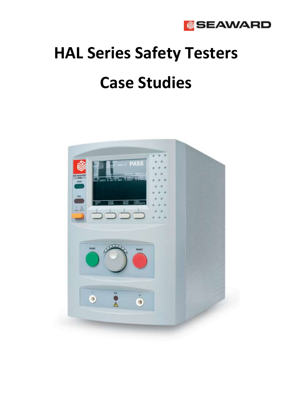

# **HAL Series Safety Testers Case Studies**

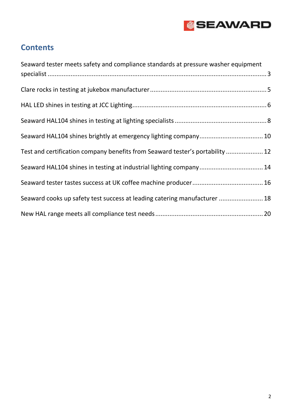

### **Contents**

| Seaward tester meets safety and compliance standards at pressure washer equipment |
|-----------------------------------------------------------------------------------|
|                                                                                   |
|                                                                                   |
|                                                                                   |
|                                                                                   |
| Seaward HAL104 shines brightly at emergency lighting company 10                   |
| Test and certification company benefits from Seaward tester's portability  12     |
| Seaward HAL104 shines in testing at industrial lighting company 14                |
|                                                                                   |
| Seaward cooks up safety test success at leading catering manufacturer  18         |
|                                                                                   |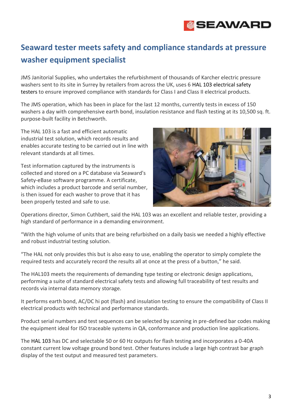# **&SEAWARD**

## <span id="page-2-0"></span>**Seaward tester meets safety and compliance standards at pressure washer equipment specialist**

JMS Janitorial Supplies, who undertakes the refurbishment of thousands of Karcher electric pressure washers sent to its site in Surrey by retailers from across the UK, uses 6 HAL 103 electrical safety testers to ensure improved compliance with standards for Class I and Class II electrical products.

The JMS operation, which has been in place for the last 12 months, currently tests in excess of 150 washers a day with comprehensive earth bond, insulation resistance and flash testing at its 10,500 sq. ft. purpose-built facility in Betchworth.

The HAL 103 is a fast and efficient automatic industrial test solution, which records results and enables accurate testing to be carried out in line with relevant standards at all times.

Test information captured by the instruments is collected and stored on a PC database via Seaward's Safety-eBase software programme. A certificate, which includes a product barcode and serial number, is then issued for each washer to prove that it has been properly tested and safe to use.



Operations director, Simon Cuthbert, said the HAL 103 was an excellent and reliable tester, providing a high standard of performance in a demanding environment.

"With the high volume of units that are being refurbished on a daily basis we needed a highly effective and robust industrial testing solution.

"The HAL not only provides this but is also easy to use, enabling the operator to simply complete the required tests and accurately record the results all at once at the press of a button," he said.

The HAL103 meets the requirements of demanding type testing or electronic design applications, performing a suite of standard electrical safety tests and allowing full traceability of test results and records via internal data memory storage.

It performs earth bond, AC/DC hi pot (flash) and insulation testing to ensure the compatibility of Class II electrical products with technical and performance standards.

Product serial numbers and test sequences can be selected by scanning in pre-defined bar codes making the equipment ideal for ISO traceable systems in QA, conformance and production line applications.

The HAL 103 has DC and selectable 50 or 60 Hz outputs for flash testing and incorporates a 0-40A constant current low voltage ground bond test. Other features include a large high contrast bar graph display of the test output and measured test parameters.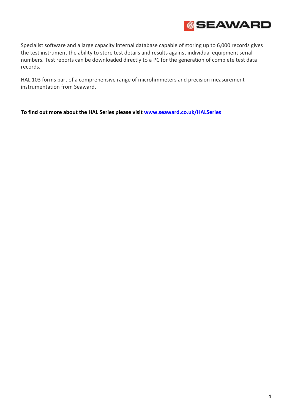

Specialist software and a large capacity internal database capable of storing up to 6,000 records gives the test instrument the ability to store test details and results against individual equipment serial numbers. Test reports can be downloaded directly to a PC for the generation of complete test data records.

HAL 103 forms part of a comprehensive range of microhmmeters and precision measurement instrumentation from Seaward.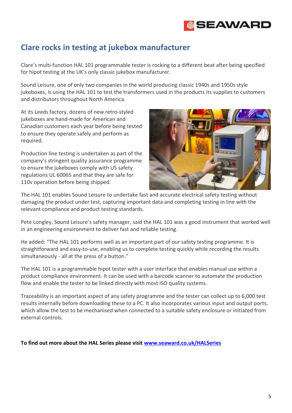

#### <span id="page-4-0"></span>**Clare rocks in testing at jukebox manufacturer**

Clare's multi-function HAL 101 programmable tester is rocking to a different beat after being specified for hipot testing at the UK's only classic jukebox manufacturer.

Sound Leisure, one of only two companies in the world producing classic 1940s and 1950s style jukeboxes, is using the HAL 101 to test the transformers used in the products its supplies to customers and distributors throughout North America.

At its Leeds factory, dozens of new retro-styled jukeboxes are hand-made for American and Canadian customers each year before being tested to ensure they operate safely and perform as required.

Production line testing is undertaken as part of the company's stringent quality assurance programme to ensure the jukeboxes comply with US safety regulations UL 60065 and that they are safe for 110v operation before being shipped.



The HAL 101 enables Sound Leisure to undertake fast and accurate electrical safety testing without damaging the product under test, capturing important data and completing testing in line with the relevant compliance and product testing standards.

Pete Longley, Sound Leisure's safety manager, said the HAL 101 was a good instrument that worked well in an engineering environment to deliver fast and reliable testing.

He added: "The HAL 101 performs well as an important part of our safety testing programme. It is straightforward and easy-to-use, enabling us to complete testing quickly while recording the results simultaneously - all at the press of a button."

The HAL 101 is a programmable hipot tester with a user interface that enables manual use within a product compliance environment. It can be used with a barcode scanner to automate the production flow and enable the tester to be linked directly with most ISO quality systems.

Traceability is an important aspect of any safety programme and the tester can collect up to 6,000 test results internally before downloading these to a PC. It also incorporates various input and output ports, which allow the test to be mechanised when connected to a suitable safety enclosure or initiated from external controls.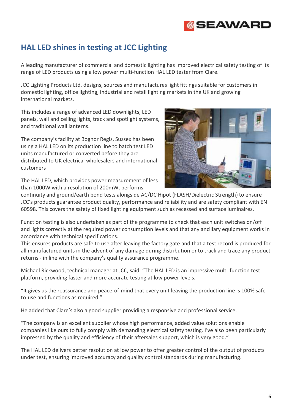# **SEAWARD**

#### <span id="page-5-0"></span>**HAL LED shines in testing at JCC Lighting**

A leading manufacturer of commercial and domestic lighting has improved electrical safety testing of its range of LED products using a low power multi-function HAL LED tester from Clare.

JCC Lighting Products Ltd, designs, sources and manufactures light fittings suitable for customers in domestic lighting, office lighting, industrial and retail lighting markets in the UK and growing international markets.

This includes a range of advanced LED downlights, LED panels, wall and ceiling lights, track and spotlight systems, and traditional wall lanterns.

The company's facility at Bognor Regis, Sussex has been using a HAL LED on its production line to batch test LED units manufactured or converted before they are distributed to UK electrical wholesalers and international customers

The HAL LED, which provides power measurement of less than 1000W with a resolution of 200mW, performs



continuity and ground/earth bond tests alongside AC/DC Hipot (FLASH/Dielectric Strength) to ensure JCC's products guarantee product quality, performance and reliability and are safety compliant with EN 60598. This covers the safety of fixed lighting equipment such as recessed and surface luminaires.

Function testing is also undertaken as part of the programme to check that each unit switches on/off and lights correctly at the required power consumption levels and that any ancillary equipment works in accordance with technical specifications.

This ensures products are safe to use after leaving the factory gate and that a test record is produced for all manufactured units in the advent of any damage during distribution or to track and trace any product returns - in line with the company's quality assurance programme.

Michael Rickwood, technical manager at JCC, said: "The HAL LED is an impressive multi-function test platform, providing faster and more accurate testing at low power levels.

"It gives us the reassurance and peace-of-mind that every unit leaving the production line is 100% safeto-use and functions as required."

He added that Clare's also a good supplier providing a responsive and professional service.

"The company is an excellent supplier whose high performance, added value solutions enable companies like ours to fully comply with demanding electrical safety testing. I've also been particularly impressed by the quality and efficiency of their aftersales support, which is very good."

The HAL LED delivers better resolution at low power to offer greater control of the output of products under test, ensuring improved accuracy and quality control standards during manufacturing.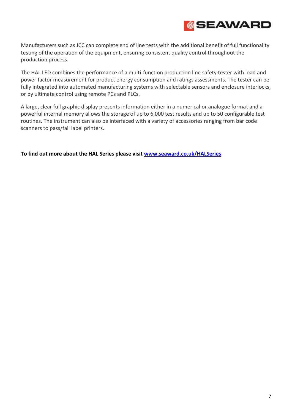

Manufacturers such as JCC can complete end of line tests with the additional benefit of full functionality testing of the operation of the equipment, ensuring consistent quality control throughout the production process.

The HAL LED combines the performance of a multi-function production line safety tester with load and power factor measurement for product energy consumption and ratings assessments. The tester can be fully integrated into automated manufacturing systems with selectable sensors and enclosure interlocks, or by ultimate control using remote PCs and PLCs.

A large, clear full graphic display presents information either in a numerical or analogue format and a powerful internal memory allows the storage of up to 6,000 test results and up to 50 configurable test routines. The instrument can also be interfaced with a variety of accessories ranging from bar code scanners to pass/fail label printers.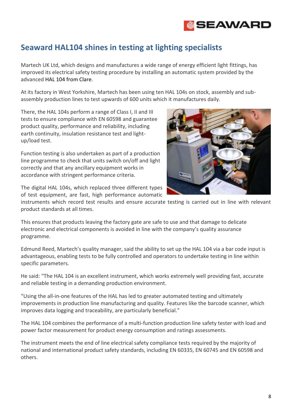

#### <span id="page-7-0"></span>**Seaward HAL104 shines in testing at lighting specialists**

Martech UK Ltd, which designs and manufactures a wide range of energy efficient light fittings, has improved its electrical safety testing procedure by installing an automatic system provided by the advanced HAL 104 from Clare.

At its factory in West Yorkshire, Martech has been using ten HAL 104s on stock, assembly and subassembly production lines to test upwards of 600 units which it manufactures daily.

There, the HAL 104s perform a range of Class I, II and III tests to ensure compliance with EN 60598 and guarantee product quality, performance and reliability, including earth continuity, insulation resistance test and lightup/load test.

Function testing is also undertaken as part of a production line programme to check that units switch on/off and light correctly and that any ancillary equipment works in accordance with stringent performance criteria.



The digital HAL 104s, which replaced three different types of test equipment, are fast, high performance automatic

instruments which record test results and ensure accurate testing is carried out in line with relevant product standards at all times.

This ensures that products leaving the factory gate are safe to use and that damage to delicate electronic and electrical components is avoided in line with the company's quality assurance programme.

Edmund Reed, Martech's quality manager, said the ability to set up the HAL 104 via a bar code input is advantageous, enabling tests to be fully controlled and operators to undertake testing in line within specific parameters.

He said: "The HAL 104 is an excellent instrument, which works extremely well providing fast, accurate and reliable testing in a demanding production environment.

"Using the all-in-one features of the HAL has led to greater automated testing and ultimately improvements in production line manufacturing and quality. Features like the barcode scanner, which improves data logging and traceability, are particularly beneficial."

The HAL 104 combines the performance of a multi-function production line safety tester with load and power factor measurement for product energy consumption and ratings assessments.

The instrument meets the end of line electrical safety compliance tests required by the majority of national and international product safety standards, including EN 60335, EN 60745 and EN 60598 and others.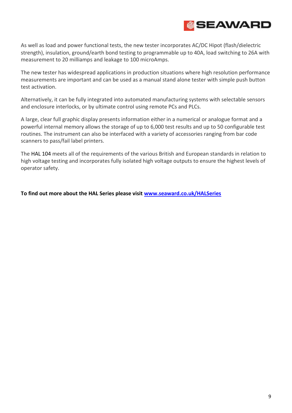

As well as load and power functional tests, the new tester incorporates AC/DC Hipot (flash/dielectric strength), insulation, ground/earth bond testing to programmable up to 40A, load switching to 26A with measurement to 20 milliamps and leakage to 100 microAmps.

The new tester has widespread applications in production situations where high resolution performance measurements are important and can be used as a manual stand alone tester with simple push button test activation.

Alternatively, it can be fully integrated into automated manufacturing systems with selectable sensors and enclosure interlocks, or by ultimate control using remote PCs and PLCs.

A large, clear full graphic display presents information either in a numerical or analogue format and a powerful internal memory allows the storage of up to 6,000 test results and up to 50 configurable test routines. The instrument can also be interfaced with a variety of accessories ranging from bar code scanners to pass/fail label printers.

The HAL 104 meets all of the requirements of the various British and European standards in relation to high voltage testing and incorporates fully isolated high voltage outputs to ensure the highest levels of operator safety.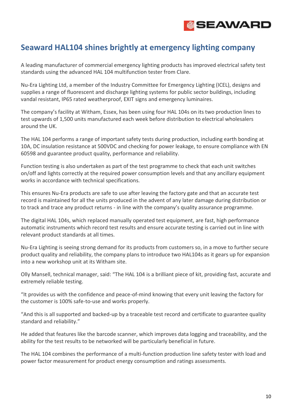

#### <span id="page-9-0"></span>**Seaward HAL104 shines brightly at emergency lighting company**

A leading manufacturer of commercial emergency lighting products has improved electrical safety test standards using the advanced HAL 104 multifunction tester from Clare.

Nu-Era Lighting Ltd, a member of the Industry Committee for Emergency Lighting (ICEL), designs and supplies a range of fluorescent and discharge lighting systems for public sector buildings, including vandal resistant, IP65 rated weatherproof, EXIT signs and emergency luminaires.

The company's facility at Witham, Essex, has been using four HAL 104s on its two production lines to test upwards of 1,500 units manufactured each week before distribution to electrical wholesalers around the UK.

The HAL 104 performs a range of important safety tests during production, including earth bonding at 10A, DC insulation resistance at 500VDC and checking for power leakage, to ensure compliance with EN 60598 and guarantee product quality, performance and reliability.

Function testing is also undertaken as part of the test programme to check that each unit switches on/off and lights correctly at the required power consumption levels and that any ancillary equipment works in accordance with technical specifications.

This ensures Nu-Era products are safe to use after leaving the factory gate and that an accurate test record is maintained for all the units produced in the advent of any later damage during distribution or to track and trace any product returns - in line with the company's quality assurance programme.

The digital HAL 104s, which replaced manually operated test equipment, are fast, high performance automatic instruments which record test results and ensure accurate testing is carried out in line with relevant product standards at all times.

Nu-Era Lighting is seeing strong demand for its products from customers so, in a move to further secure product quality and reliability, the company plans to introduce two HAL104s as it gears up for expansion into a new workshop unit at its Witham site.

Olly Mansell, technical manager, said: "The HAL 104 is a brilliant piece of kit, providing fast, accurate and extremely reliable testing.

"It provides us with the confidence and peace-of-mind knowing that every unit leaving the factory for the customer is 100% safe-to-use and works properly.

"And this is all supported and backed-up by a traceable test record and certificate to guarantee quality standard and reliability."

He added that features like the barcode scanner, which improves data logging and traceability, and the ability for the test results to be networked will be particularly beneficial in future.

The HAL 104 combines the performance of a multi-function production line safety tester with load and power factor measurement for product energy consumption and ratings assessments.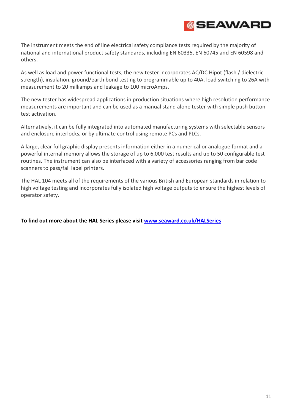

The instrument meets the end of line electrical safety compliance tests required by the majority of national and international product safety standards, including EN 60335, EN 60745 and EN 60598 and others.

As well as load and power functional tests, the new tester incorporates AC/DC Hipot (flash / dielectric strength), insulation, ground/earth bond testing to programmable up to 40A, load switching to 26A with measurement to 20 milliamps and leakage to 100 microAmps.

The new tester has widespread applications in production situations where high resolution performance measurements are important and can be used as a manual stand alone tester with simple push button test activation.

Alternatively, it can be fully integrated into automated manufacturing systems with selectable sensors and enclosure interlocks, or by ultimate control using remote PCs and PLCs.

A large, clear full graphic display presents information either in a numerical or analogue format and a powerful internal memory allows the storage of up to 6,000 test results and up to 50 configurable test routines. The instrument can also be interfaced with a variety of accessories ranging from bar code scanners to pass/fail label printers.

The HAL 104 meets all of the requirements of the various British and European standards in relation to high voltage testing and incorporates fully isolated high voltage outputs to ensure the highest levels of operator safety.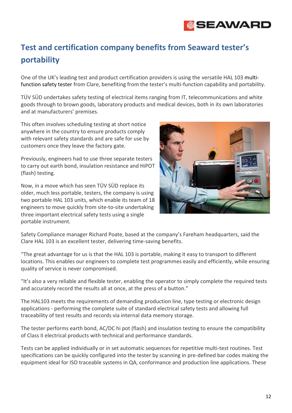![](_page_11_Picture_0.jpeg)

# <span id="page-11-0"></span>**Test and certification company benefits from Seaward tester's portability**

One of the UK's leading test and product certification providers is using the versatile HAL 103 multifunction safety tester from Clare, benefiting from the tester's multi-function capability and portability.

TÜV SÜD undertakes safety testing of electrical items ranging from IT, telecommunications and white goods through to brown goods, laboratory products and medical devices, both in its own laboratories and at manufacturers' premises.

This often involves scheduling testing at short notice anywhere in the country to ensure products comply with relevant safety standards and are safe for use by customers once they leave the factory gate.

Previously, engineers had to use three separate testers to carry out earth bond, insulation resistance and HiPOT (flash) testing.

Now, in a move which has seen TÜV SÜD replace its older, much less portable, testers, the company is using two portable HAL 103 units, which enable its team of 18 engineers to move quickly from site-to-site undertaking three important electrical safety tests using a single portable instrument.

![](_page_11_Picture_7.jpeg)

Safety Compliance manager Richard Poate, based at the company's Fareham headquarters, said the Clare HAL 103 is an excellent tester, delivering time-saving benefits.

"The great advantage for us is that the HAL 103 is portable, making it easy to transport to different locations. This enables our engineers to complete test programmes easily and efficiently, while ensuring quality of service is never compromised.

"It's also a very reliable and flexible tester, enabling the operator to simply complete the required tests and accurately record the results all at once, at the press of a button."

The HAL103 meets the requirements of demanding production line, type testing or electronic design applications - performing the complete suite of standard electrical safety tests and allowing full traceability of test results and records via internal data memory storage.

The tester performs earth bond, AC/DC hi pot (flash) and insulation testing to ensure the compatibility of Class II electrical products with technical and performance standards.

Tests can be applied individually or in set automatic sequences for repetitive multi-test routines. Test specifications can be quickly configured into the tester by scanning in pre-defined bar codes making the equipment ideal for ISO traceable systems in QA, conformance and production line applications. These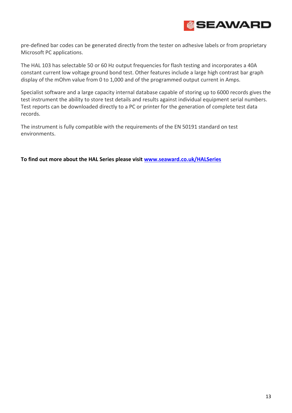![](_page_12_Picture_0.jpeg)

pre-defined bar codes can be generated directly from the tester on adhesive labels or from proprietary Microsoft PC applications.

The HAL 103 has selectable 50 or 60 Hz output frequencies for flash testing and incorporates a 40A constant current low voltage ground bond test. Other features include a large high contrast bar graph display of the mOhm value from 0 to 1,000 and of the programmed output current in Amps.

Specialist software and a large capacity internal database capable of storing up to 6000 records gives the test instrument the ability to store test details and results against individual equipment serial numbers. Test reports can be downloaded directly to a PC or printer for the generation of complete test data records.

The instrument is fully compatible with the requirements of the EN 50191 standard on test environments.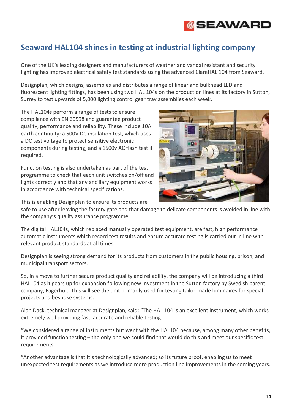![](_page_13_Picture_0.jpeg)

#### <span id="page-13-0"></span>**Seaward HAL104 shines in testing at industrial lighting company**

One of the UK's leading designers and manufacturers of weather and vandal resistant and security lighting has improved electrical safety test standards using the advanced ClareHAL 104 from Seaward.

Designplan, which designs, assembles and distributes a range of linear and bulkhead LED and fluorescent lighting fittings, has been using two HAL 104s on the production lines at its factory in Sutton, Surrey to test upwards of 5,000 lighting control gear tray assemblies each week.

The HAL104s perform a range of tests to ensure compliance with EN 60598 and guarantee product quality, performance and reliability. These include 10A earth continuity; a 500V DC insulation test, which uses a DC test voltage to protect sensitive electronic components during testing, and a 1500v AC flash test if required.

Function testing is also undertaken as part of the test programme to check that each unit switches on/off and lights correctly and that any ancillary equipment works in accordance with technical specifications.

![](_page_13_Picture_6.jpeg)

This is enabling Designplan to ensure its products are

safe to use after leaving the factory gate and that damage to delicate components is avoided in line with the company's quality assurance programme.

The digital HAL104s, which replaced manually operated test equipment, are fast, high performance automatic instruments which record test results and ensure accurate testing is carried out in line with relevant product standards at all times.

Designplan is seeing strong demand for its products from customers in the public housing, prison, and municipal transport sectors.

So, in a move to further secure product quality and reliability, the company will be introducing a third HAL104 as it gears up for expansion following new investment in the Sutton factory by Swedish parent company, Fagerhult. This will see the unit primarily used for testing tailor-made luminaires for special projects and bespoke systems.

Alan Dack, technical manager at Designplan, said: "The HAL 104 is an excellent instrument, which works extremely well providing fast, accurate and reliable testing.

"We considered a range of instruments but went with the HAL104 because, among many other benefits, it provided function testing – the only one we could find that would do this and meet our specific test requirements.

"Another advantage is that it´s technologically advanced; so its future proof, enabling us to meet unexpected test requirements as we introduce more production line improvements in the coming years.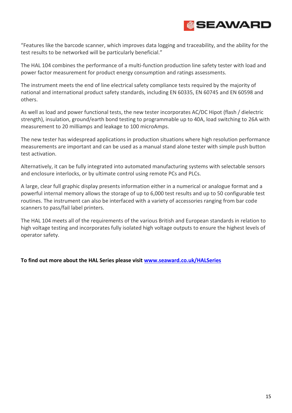![](_page_14_Picture_0.jpeg)

"Features like the barcode scanner, which improves data logging and traceability, and the ability for the test results to be networked will be particularly beneficial."

The HAL 104 combines the performance of a multi-function production line safety tester with load and power factor measurement for product energy consumption and ratings assessments.

The instrument meets the end of line electrical safety compliance tests required by the majority of national and international product safety standards, including EN 60335, EN 60745 and EN 60598 and others.

As well as load and power functional tests, the new tester incorporates AC/DC Hipot (flash / dielectric strength), insulation, ground/earth bond testing to programmable up to 40A, load switching to 26A with measurement to 20 milliamps and leakage to 100 microAmps.

The new tester has widespread applications in production situations where high resolution performance measurements are important and can be used as a manual stand alone tester with simple push button test activation.

Alternatively, it can be fully integrated into automated manufacturing systems with selectable sensors and enclosure interlocks, or by ultimate control using remote PCs and PLCs.

A large, clear full graphic display presents information either in a numerical or analogue format and a powerful internal memory allows the storage of up to 6,000 test results and up to 50 configurable test routines. The instrument can also be interfaced with a variety of accessories ranging from bar code scanners to pass/fail label printers.

The HAL 104 meets all of the requirements of the various British and European standards in relation to high voltage testing and incorporates fully isolated high voltage outputs to ensure the highest levels of operator safety.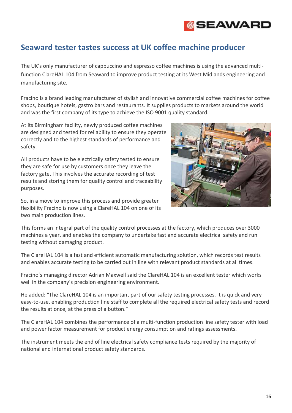![](_page_15_Picture_0.jpeg)

#### <span id="page-15-0"></span>**Seaward tester tastes success at UK coffee machine producer**

The UK's only manufacturer of cappuccino and espresso coffee machines is using the advanced multifunction ClareHAL 104 from Seaward to improve product testing at its West Midlands engineering and manufacturing site.

Fracino is a brand leading manufacturer of stylish and innovative commercial coffee machines for coffee shops, boutique hotels, gastro bars and restaurants. It supplies products to markets around the world and was the first company of its type to achieve the ISO 9001 quality standard.

At its Birmingham facility, newly produced coffee machines are designed and tested for reliability to ensure they operate correctly and to the highest standards of performance and safety.

All products have to be electrically safety tested to ensure they are safe for use by customers once they leave the factory gate. This involves the accurate recording of test results and storing them for quality control and traceability purposes.

So, in a move to improve this process and provide greater flexibility Fracino is now using a ClareHAL 104 on one of its two main production lines.

![](_page_15_Picture_7.jpeg)

This forms an integral part of the quality control processes at the factory, which produces over 3000 machines a year, and enables the company to undertake fast and accurate electrical safety and run testing without damaging product.

The ClareHAL 104 is a fast and efficient automatic manufacturing solution, which records test results and enables accurate testing to be carried out in line with relevant product standards at all times.

Fracino's managing director Adrian Maxwell said the ClareHAL 104 is an excellent tester which works well in the company's precision engineering environment.

He added: "The ClareHAL 104 is an important part of our safety testing processes. It is quick and very easy-to-use, enabling production line staff to complete all the required electrical safety tests and record the results at once, at the press of a button."

The ClareHAL 104 combines the performance of a multi-function production line safety tester with load and power factor measurement for product energy consumption and ratings assessments.

The instrument meets the end of line electrical safety compliance tests required by the majority of national and international product safety standards.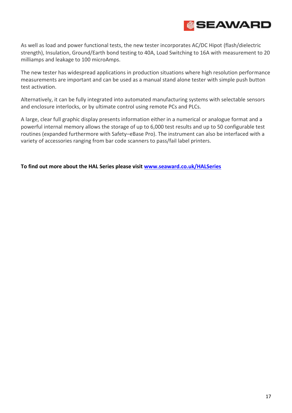![](_page_16_Picture_0.jpeg)

As well as load and power functional tests, the new tester incorporates AC/DC Hipot (flash/dielectric strength), Insulation, Ground/Earth bond testing to 40A, Load Switching to 16A with measurement to 20 milliamps and leakage to 100 microAmps.

The new tester has widespread applications in production situations where high resolution performance measurements are important and can be used as a manual stand alone tester with simple push button test activation.

Alternatively, it can be fully integrated into automated manufacturing systems with selectable sensors and enclosure interlocks, or by ultimate control using remote PCs and PLCs.

A large, clear full graphic display presents information either in a numerical or analogue format and a powerful internal memory allows the storage of up to 6,000 test results and up to 50 configurable test routines (expanded furthermore with Safety–eBase Pro). The instrument can also be interfaced with a variety of accessories ranging from bar code scanners to pass/fail label printers.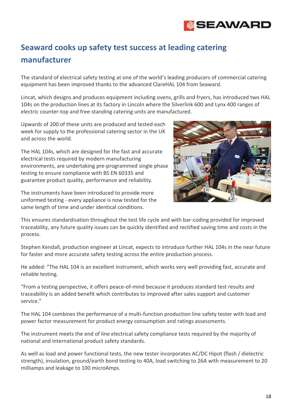![](_page_17_Picture_0.jpeg)

# <span id="page-17-0"></span>**Seaward cooks up safety test success at leading catering manufacturer**

The standard of electrical safety testing at one of the world's leading producers of commercial catering equipment has been improved thanks to the advanced ClareHAL 104 from Seaward.

Lincat, which designs and produces equipment including ovens, grills and fryers, has introduced two HAL 104s on the production lines at its factory in Lincoln where the Silverlink 600 and Lynx 400 ranges of electric counter-top and free-standing catering units are manufactured.

Upwards of 200 of these units are produced and tested each week for supply to the professional catering sector in the UK and across the world.

The HAL 104s, which are designed for the fast and accurate electrical tests required by modern manufacturing environments, are undertaking pre-programmed single phase testing to ensure compliance with BS EN 60335 and guarantee product quality, performance and reliability.

The instruments have been introduced to provide more uniformed testing - every appliance is now tested for the same length of time and under identical conditions.

![](_page_17_Picture_7.jpeg)

This ensures standardisation throughout the test life cycle and with bar-coding provided for improved traceability, any future quality issues can be quickly identified and rectified saving time and costs in the process.

Stephen Kendall, production engineer at Lincat, expects to introduce further HAL 104s in the near future for faster and more accurate safety testing across the entire production process.

He added: "The HAL 104 is an excellent instrument, which works very well providing fast, accurate and reliable testing.

"From a testing perspective, it offers peace-of-mind because it produces standard test results and traceability is an added benefit which contributes to improved after sales support and customer service."

The HAL 104 combines the performance of a multi-function production line safety tester with load and power factor measurement for product energy consumption and ratings assessments.

The instrument meets the end of line electrical safety compliance tests required by the majority of national and international product safety standards.

As well as load and power functional tests, the new tester incorporates AC/DC Hipot (flash / dielectric strength), insulation, ground/earth bond testing to 40A, load switching to 26A with measurement to 20 milliamps and leakage to 100 microAmps.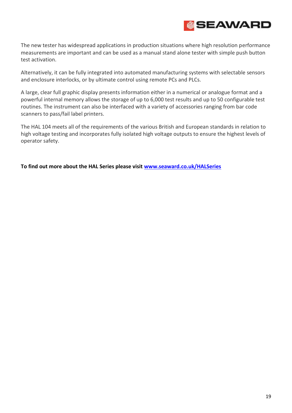![](_page_18_Picture_0.jpeg)

The new tester has widespread applications in production situations where high resolution performance measurements are important and can be used as a manual stand alone tester with simple push button test activation.

Alternatively, it can be fully integrated into automated manufacturing systems with selectable sensors and enclosure interlocks, or by ultimate control using remote PCs and PLCs.

A large, clear full graphic display presents information either in a numerical or analogue format and a powerful internal memory allows the storage of up to 6,000 test results and up to 50 configurable test routines. The instrument can also be interfaced with a variety of accessories ranging from bar code scanners to pass/fail label printers.

The HAL 104 meets all of the requirements of the various British and European standards in relation to high voltage testing and incorporates fully isolated high voltage outputs to ensure the highest levels of operator safety.